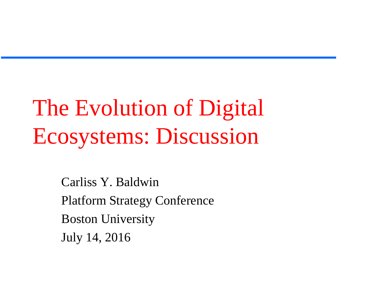## The Evolution of Digital Ecosystems: Discussion

Carliss Y. Baldwin Platform Strategy Conference Boston University July 14, 2016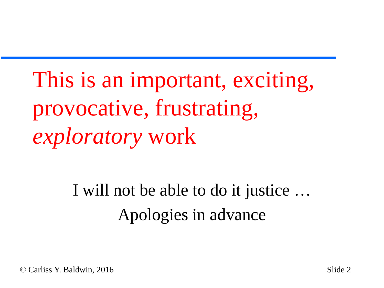This is an important, exciting, provocative, frustrating*, exploratory* work

> I will not be able to do it justice … Apologies in advance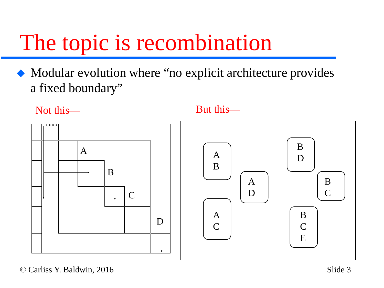### The topic is recombination

 Modular evolution where "no explicit architecture provides a fixed boundary"

Not this—





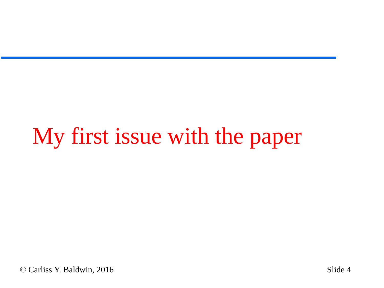## My first issue with the paper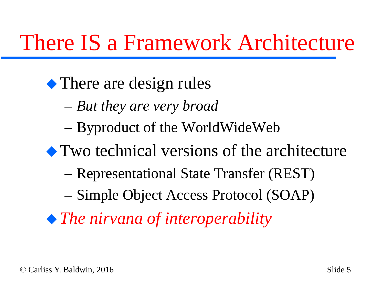#### There IS a Framework Architecture

#### • There are design rules

- *But they are very broad*
- Byproduct of the WorldWideWeb
- Two technical versions of the architecture
	- Representational State Transfer (REST)
	- Simple Object Access Protocol (SOAP)
- *The nirvana of interoperability*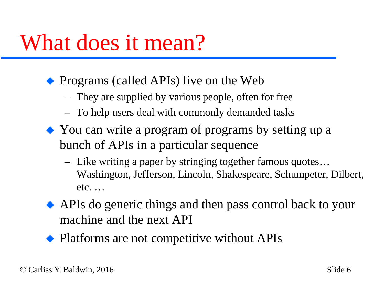#### What does it mean?

- Programs (called APIs) live on the Web
	- They are supplied by various people, often for free
	- To help users deal with commonly demanded tasks
- You can write a program of programs by setting up a bunch of APIs in a particular sequence
	- Like writing a paper by stringing together famous quotes… Washington, Jefferson, Lincoln, Shakespeare, Schumpeter, Dilbert, etc. …
- APIs do generic things and then pass control back to your machine and the next API
- Platforms are not competitive without APIs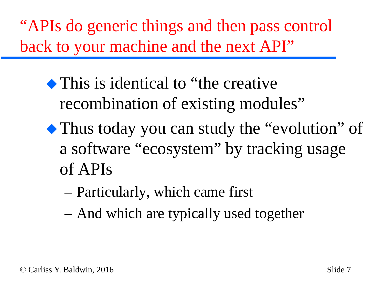"APIs do generic things and then pass control back to your machine and the next API"

- This is identical to "the creative" recombination of existing modules"
- Thus today you can study the "evolution" of a software "ecosystem" by tracking usage of APIs
	- Particularly, which came first
	- And which are typically used together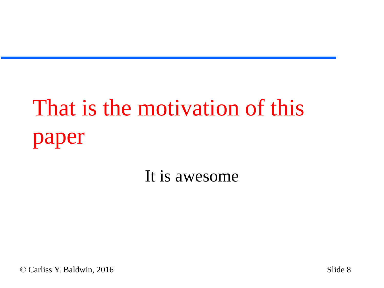# That is the motivation of this paper

It is awesome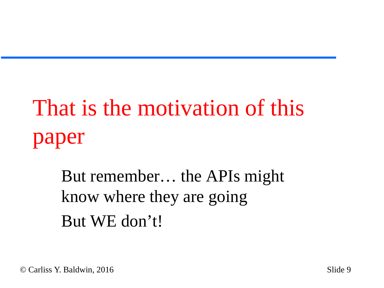# That is the motivation of this paper

But remember… the APIs might know where they are going But WE don't!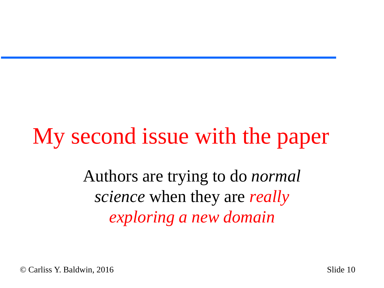### My second issue with the paper

Authors are trying to do *normal science* when they are *really exploring a new domain*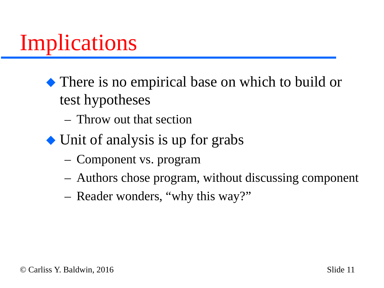### Implications

- There is no empirical base on which to build or test hypotheses
	- Throw out that section
- Unit of analysis is up for grabs
	- Component vs. program
	- Authors chose program, without discussing component
	- Reader wonders, "why this way?"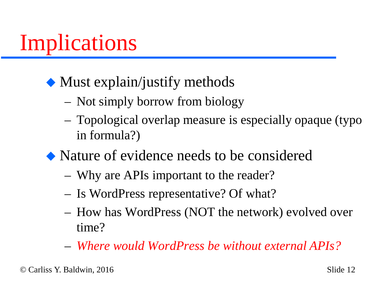### Implications

#### • Must explain/justify methods

- Not simply borrow from biology
- Topological overlap measure is especially opaque (typo in formula?)
- Nature of evidence needs to be considered
	- Why are APIs important to the reader?
	- Is WordPress representative? Of what?
	- How has WordPress (NOT the network) evolved over time?
	- *Where would WordPress be without external APIs?*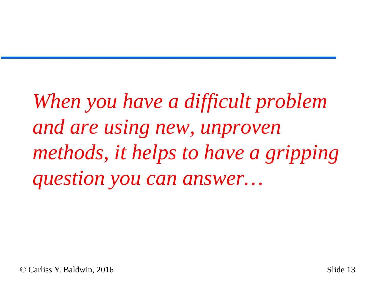*When you have a difficult problem and are using new, unproven methods, it helps to have a gripping question you can answer…*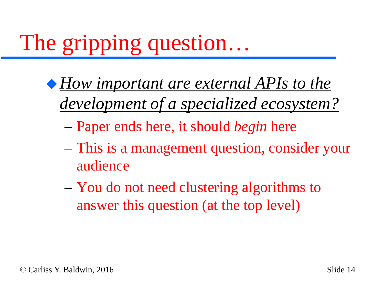# The gripping question…

- *How important are external APIs to the development of a specialized ecosystem?*
	- Paper ends here, it should *begin* here
	- This is a management question, consider your audience
	- You do not need clustering algorithms to answer this question (at the top level)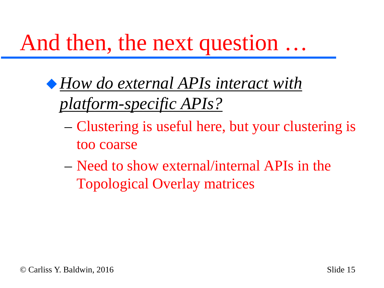### And then, the next question …

- *How do external APIs interact with platform-specific APIs?*
	- Clustering is useful here, but your clustering is too coarse
	- Need to show external/internal APIs in the Topological Overlay matrices